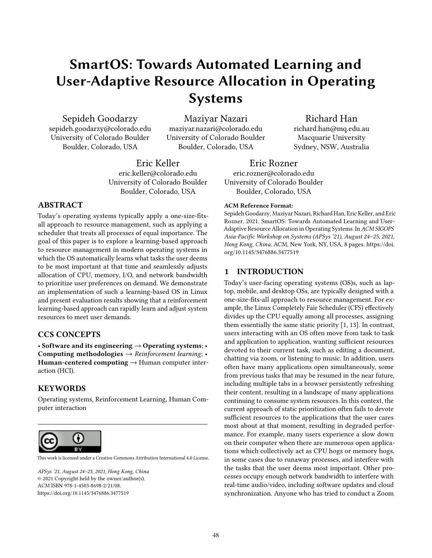# SmartOS: Towards Automated Learning and User-Adaptive Resource Allocation in Operating Systems

Sepideh Goodarzy

sepideh.goodarzy@colorado.edu University of Colorado Boulder Boulder, Colorado, USA

Maziyar Nazari

maziyar.nazari@colorado.edu University of Colorado Boulder Boulder, Colorado, USA

Eric Keller eric.keller@colorado.edu University of Colorado Boulder Boulder, Colorado, USA

# ABSTRACT

Today's operating systems typically apply a one-size-fitsall approach to resource management, such as applying a scheduler that treats all processes of equal importance. The goal of this paper is to explore a learning-based approach to resource management in modern operating systems in which the OS automatically learns what tasks the user deems to be most important at that time and seamlessly adjusts allocation of CPU, memory, I/O, and network bandwidth to prioritize user preferences on demand. We demonstrate an implementation of such a learning-based OS in Linux and present evaluation results showing that a reinforcement learning-based approach can rapidly learn and adjust system resources to meet user demands.

# CCS CONCEPTS

• Software and its engineering  $\rightarrow$  Operating systems; • Computing methodologies  $\rightarrow$  Reinforcement learning; • Human-centered computing  $\rightarrow$  Human computer interaction (HCI).

# **KEYWORDS**

Operating systems, Reinforcement Learning, Human Computer interaction



[This work is licensed under a Creative Commons Attribution International 4.0 License.](https://creativecommons.org/licenses/by/4.0/)

APSys '21, August 24–25, 2021, Hong Kong, China © 2021 Copyright held by the owner/author(s). ACM ISBN 978-1-4503-8698-2/21/08. <https://doi.org/10.1145/3476886.3477519>

Eric Rozner eric.rozner@colorado.edu University of Colorado Boulder Boulder, Colorado, USA

#### ACM Reference Format:

Sepideh Goodarzy, Maziyar Nazari, Richard Han, Eric Keller, and Eric Rozner. 2021. SmartOS: Towards Automated Learning and User-Adaptive Resource Allocation in Operating Systems. In ACM SIGOPS Asia-Pacific Workshop on Systems (APSys '21), August 24–25, 2021, Hong Kong, China. ACM, New York, NY, USA, [8](#page-7-0) pages. [https://doi.](https://doi.org/10.1145/3476886.3477519) [org/10.1145/3476886.3477519](https://doi.org/10.1145/3476886.3477519)

# 1 INTRODUCTION

Today's user-facing operating systems (OS)s, such as laptop, mobile, and desktop OSs, are typically designed with a one-size-fits-all approach to resource management. For example, the Linux Completely Fair Scheduler (CFS) effectively divides up the CPU equally among all processes, assigning them essentially the same static priority [\[1,](#page-7-1) [13\]](#page-7-2). In contrast, users interacting with an OS often move from task to task and application to application, wanting sufficient resources devoted to their current task, such as editing a document, chatting via zoom, or listening to music. In addition, users often have many applications open simultaneously, some from previous tasks that may be resumed in the near future, including multiple tabs in a browser persistently refreshing their content, resulting in a landscape of many applications continuing to consume system resources. In this context, the current approach of static prioritization often fails to devote sufficient resources to the applications that the user cares most about at that moment, resulting in degraded performance. For example, many users experience a slow down on their computer when there are numerous open applications which collectively act as CPU hogs or memory hogs, in some cases due to runaway processes, and interfere with the tasks that the user deems most important. Other processes occupy enough network bandwidth to interfere with real-time audio/video, including software updates and cloud synchronization. Anyone who has tried to conduct a Zoom

# Richard Han

richard.han@mq.edu.au Macquarie University Sydney, NSW, Australia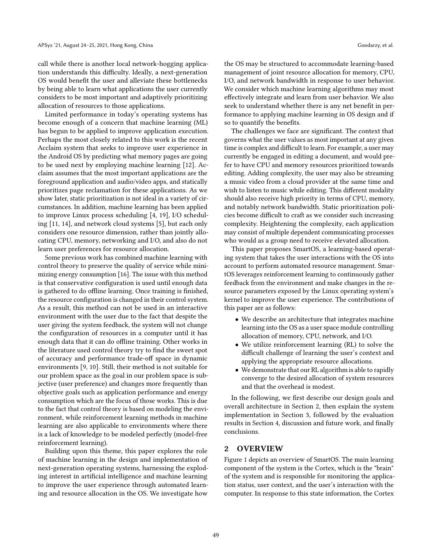call while there is another local network-hogging application understands this difficulty. Ideally, a next-generation OS would benefit the user and alleviate these bottlenecks by being able to learn what applications the user currently considers to be most important and adaptively prioritizing allocation of resources to those applications.

Limited performance in today's operating systems has become enough of a concern that machine learning (ML) has begun to be applied to improve application execution. Perhaps the most closely related to this work is the recent Acclaim system that seeks to improve user experience in the Android OS by predicting what memory pages are going to be used next by employing machine learning [\[12\]](#page-7-3). Acclaim assumes that the most important applications are the foreground application and audio/video apps, and statically prioritizes page reclamation for these applications. As we show later, static prioritization is not ideal in a variety of circumstances. In addition, machine learning has been applied to improve Linux process scheduling [\[4,](#page-7-4) [19\]](#page-7-5), I/O scheduling [\[11,](#page-7-6) [14\]](#page-7-7), and network cloud systems [\[5\]](#page-7-8), but each only considers one resource dimension, rather than jointly allocating CPU, memory, networking and I/O, and also do not learn user preferences for resource allocation.

Some previous work has combined machine learning with control theory to preserve the quality of service while minimizing energy consumption [\[16\]](#page-7-9). The issue with this method is that conservative configuration is used until enough data is gathered to do offline learning. Once training is finished, the resource configuration is changed in their control system. As a result, this method can not be used in an interactive environment with the user due to the fact that despite the user giving the system feedback, the system will not change the configuration of resources in a computer until it has enough data that it can do offline training. Other works in the literature used control theory try to find the sweet spot of accuracy and performance trade-off space in dynamic environments [\[9,](#page-7-10) [10\]](#page-7-11). Still, their method is not suitable for our problem space as the goal in our problem space is subjective (user preference) and changes more frequently than objective goals such as application performance and energy consumption which are the focus of those works. This is due to the fact that control theory is based on modeling the environment, while reinforcement learning methods in machine learning are also applicable to environments where there is a lack of knowledge to be modeled perfectly (model-free reinforcement learning).

Building upon this theme, this paper explores the role of machine learning in the design and implementation of next-generation operating systems, harnessing the exploding interest in artificial intelligence and machine learning to improve the user experience through automated learning and resource allocation in the OS. We investigate how

the OS may be structured to accommodate learning-based management of joint resource allocation for memory, CPU, I/O, and network bandwidth in response to user behavior. We consider which machine learning algorithms may most effectively integrate and learn from user behavior. We also seek to understand whether there is any net benefit in performance to applying machine learning in OS design and if so to quantify the benefits.

The challenges we face are significant. The context that governs what the user values as most important at any given time is complex and difficult to learn. For example, a user may currently be engaged in editing a document, and would prefer to have CPU and memory resources prioritized towards editing. Adding complexity, the user may also be streaming a music video from a cloud provider at the same time and wish to listen to music while editing. This different modality should also receive high priority in terms of CPU, memory, and notably network bandwidth. Static prioritization policies become difficult to craft as we consider such increasing complexity. Heightening the complexity, each application may consist of multiple dependent communicating processes who would as a group need to receive elevated allocation.

This paper proposes SmartOS, a learning-based operating system that takes the user interactions with the OS into account to perform automated resource management. SmartOS leverages reinforcement learning to continuously gather feedback from the environment and make changes in the resource parameters exposed by the Linux operating system's kernel to improve the user experience. The contributions of this paper are as follows:

- We describe an architecture that integrates machine learning into the OS as a user space module controlling allocation of memory, CPU, network, and I/O.
- We utilize reinforcement learning (RL) to solve the difficult challenge of learning the user's context and applying the appropriate resource allocations.
- We demonstrate that our RL algorithm is able to rapidly converge to the desired allocation of system resources and that the overhead is modest.

In the following, we first describe our design goals and overall architecture in Section [2,](#page-1-0) then explain the system implementation in Section [3,](#page-2-0) followed by the evaluation results in Section [4,](#page-3-0) discussion and future work, and finally conclusions.

#### <span id="page-1-0"></span>2 OVERVIEW

Figure [1](#page-2-1) depicts an overview of SmartOS. The main learning component of the system is the Cortex, which is the "brain" of the system and is responsible for monitoring the application status, user context, and the user's interaction with the computer. In response to this state information, the Cortex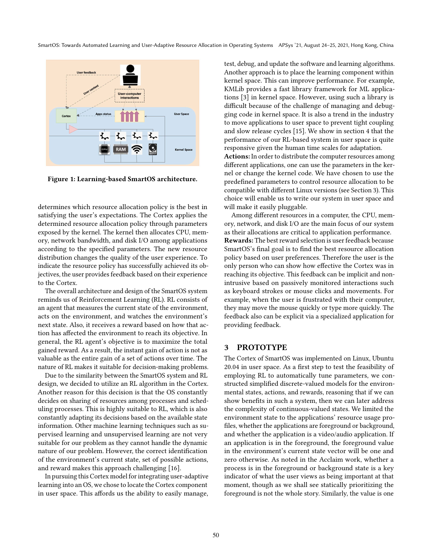<span id="page-2-1"></span>

Figure 1: Learning-based SmartOS architecture.

determines which resource allocation policy is the best in satisfying the user's expectations. The Cortex applies the determined resource allocation policy through parameters exposed by the kernel. The kernel then allocates CPU, memory, network bandwidth, and disk I/O among applications according to the specified parameters. The new resource distribution changes the quality of the user experience. To indicate the resource policy has successfully achieved its objectives, the user provides feedback based on their experience to the Cortex.

The overall architecture and design of the SmartOS system reminds us of Reinforcement Learning (RL). RL consists of an agent that measures the current state of the environment, acts on the environment, and watches the environment's next state. Also, it receives a reward based on how that action has affected the environment to reach its objective. In general, the RL agent's objective is to maximize the total gained reward. As a result, the instant gain of action is not as valuable as the entire gain of a set of actions over time. The nature of RL makes it suitable for decision-making problems.

Due to the similarity between the SmartOS system and RL design, we decided to utilize an RL algorithm in the Cortex. Another reason for this decision is that the OS constantly decides on sharing of resources among processes and scheduling processes. This is highly suitable to RL, which is also constantly adapting its decisions based on the available state information. Other machine learning techniques such as supervised learning and unsupervised learning are not very suitable for our problem as they cannot handle the dynamic nature of our problem. However, the correct identification of the environment's current state, set of possible actions, and reward makes this approach challenging [\[16\]](#page-7-9).

In pursuing this Cortex model for integrating user-adaptive learning into an OS, we chose to locate the Cortex component in user space. This affords us the ability to easily manage, test, debug, and update the software and learning algorithms. Another approach is to place the learning component within kernel space. This can improve performance. For example, KMLib provides a fast library framework for ML applications [\[3\]](#page-7-12) in kernel space. However, using such a library is difficult because of the challenge of managing and debugging code in kernel space. It is also a trend in the industry to move applications to user space to prevent tight coupling and slow release cycles [\[15\]](#page-7-13). We show in section [4](#page-3-0) that the performance of our RL-based system in user space is quite responsive given the human time scales for adaptation.

Actions: In order to distribute the computer resources among different applications, one can use the parameters in the kernel or change the kernel code. We have chosen to use the predefined parameters to control resource allocation to be compatible with different Linux versions (see Section [3\)](#page-2-0). This choice will enable us to write our system in user space and will make it easily pluggable.

Among different resources in a computer, the CPU, memory, network, and disk I/O are the main focus of our system as their allocations are critical to application performance. Rewards: The best reward selection is user feedback because SmartOS's final goal is to find the best resource allocation policy based on user preferences. Therefore the user is the only person who can show how effective the Cortex was in reaching its objective. This feedback can be implicit and nonintrusive based on passively monitored interactions such as keyboard strokes or mouse clicks and movements. For example, when the user is frustrated with their computer, they may move the mouse quickly or type more quickly. The feedback also can be explicit via a specialized application for providing feedback.

#### <span id="page-2-0"></span>3 PROTOTYPE

The Cortex of SmartOS was implemented on Linux, Ubuntu 20.04 in user space. As a first step to test the feasibility of employing RL to automatically tune parameters, we constructed simplified discrete-valued models for the environmental states, actions, and rewards, reasoning that if we can show benefits in such a system, then we can later address the complexity of continuous-valued states. We limited the environment state to the applications' resource usage profiles, whether the applications are foreground or background, and whether the application is a video/audio application. If an application is in the foreground, the foreground value in the environment's current state vector will be one and zero otherwise. As noted in the Acclaim work, whether a process is in the foreground or background state is a key indicator of what the user views as being important at that moment, though as we shall see statically prioritizing the foreground is not the whole story. Similarly, the value is one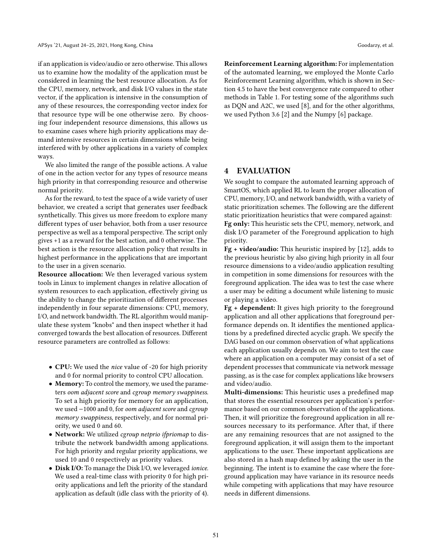if an application is video/audio or zero otherwise. This allows us to examine how the modality of the application must be considered in learning the best resource allocation. As for the CPU, memory, network, and disk I/O values in the state vector, if the application is intensive in the consumption of any of these resources, the corresponding vector index for that resource type will be one otherwise zero. By choosing four independent resource dimensions, this allows us to examine cases where high priority applications may demand intensive resources in certain dimensions while being interfered with by other applications in a variety of complex ways.

We also limited the range of the possible actions. A value of one in the action vector for any types of resource means high priority in that corresponding resource and otherwise normal priority.

As for the reward, to test the space of a wide variety of user behavior, we created a script that generates user feedback synthetically. This gives us more freedom to explore many different types of user behavior, both from a user resource perspective as well as a temporal perspective. The script only gives +1 as a reward for the best action, and 0 otherwise. The best action is the resource allocation policy that results in highest performance in the applications that are important to the user in a given scenario.

Resource allocation: We then leveraged various system tools in Linux to implement changes in relative allocation of system resources to each application, effectively giving us the ability to change the prioritization of different processes independently in four separate dimensions: CPU, memory, I/O, and network bandwidth. The RL algorithm would manipulate these system "knobs" and then inspect whether it had converged towards the best allocation of resources. Different resource parameters are controlled as follows:

- CPU: We used the nice value of -20 for high priority and 0 for normal priority to control CPU allocation.
- Memory: To control the memory, we used the parameters oom adjacent score and cgroup memory swappiness. To set a high priority for memory for an application, we used −1000 and 0, for oom adjacent score and cgroup memory swappiness, respectively, and for normal priority, we used 0 and 60.
- Network: We utilized cgroup netprio ifpriomap to distribute the network bandwidth among applications. For high priority and regular priority applications, we used 10 and 0 respectively as priority values.
- Disk I/O: To manage the Disk I/O, we leveraged ionice. We used a real-time class with priority 0 for high priority applications and left the priority of the standard application as default (idle class with the priority of 4).

Reinforcement Learning algorithm: For implementation of the automated learning, we employed the Monte Carlo Reinforcement Learning algorithm, which is shown in Section [4.5](#page-6-0) to have the best convergence rate compared to other methods in Table [1.](#page-5-0) For testing some of the algorithms such as DQN and A2C, we used [\[8\]](#page-7-14), and for the other algorithms, we used Python 3.6 [\[2\]](#page-7-15) and the Numpy [\[6\]](#page-7-16) package.

# <span id="page-3-0"></span>4 EVALUATION

We sought to compare the automated learning approach of SmartOS, which applied RL to learn the proper allocation of CPU, memory, I/O, and network bandwidth, with a variety of static prioritization schemes. The following are the different static prioritization heuristics that were compared against: Fg only: This heuristic sets the CPU, memory, network, and disk I/O parameter of the Foreground application to high priority.

Fg + video/audio: This heuristic inspired by [\[12\]](#page-7-3), adds to the previous heuristic by also giving high priority in all four resource dimensions to a video/audio application resulting in competition in some dimensions for resources with the foreground application. The idea was to test the case where a user may be editing a document while listening to music or playing a video.

Fg + dependent: It gives high priority to the foreground application and all other applications that foreground performance depends on. It identifies the mentioned applications by a predefined directed acyclic graph. We specify the DAG based on our common observation of what applications each application usually depends on. We aim to test the case where an application on a computer may consist of a set of dependent processes that communicate via network message passing, as is the case for complex applications like browsers and video/audio.

Multi-dimensions: This heuristic uses a predefined map that stores the essential resources per application's performance based on our common observation of the applications. Then, it will prioritize the foreground application in all resources necessary to its performance. After that, if there are any remaining resources that are not assigned to the foreground application, it will assign them to the important applications to the user. These important applications are also stored in a hash map defined by asking the user in the beginning. The intent is to examine the case where the foreground application may have variance in its resource needs while competing with applications that may have resource needs in different dimensions.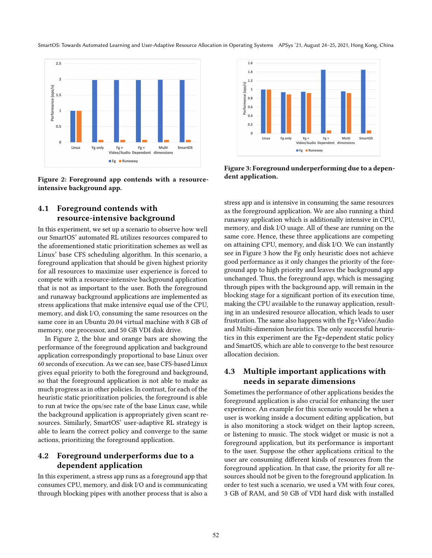SmartOS: Towards Automated Learning and User-Adaptive Resource Allocation in Operating Systems APSys '21, August 24–25, 2021, Hong Kong, China

<span id="page-4-0"></span>

Figure 2: Foreground app contends with a resourceintensive background app.

# <span id="page-4-2"></span>4.1 Foreground contends with resource-intensive background

In this experiment, we set up a scenario to observe how well our SmartOS' automated RL utilizes resources compared to the aforementioned static prioritization schemes as well as Linux' base CFS scheduling algorithm. In this scenario, a foreground application that should be given highest priority for all resources to maximize user experience is forced to compete with a resource-intensive background application that is not as important to the user. Both the foreground and runaway background applications are implemented as stress applications that make intensive equal use of the CPU, memory, and disk I/O, consuming the same resources on the same core in an Ubuntu 20.04 virtual machine with 8 GB of memory, one processor, and 50 GB VDI disk drive.

In Figure [2,](#page-4-0) the blue and orange bars are showing the performance of the foreground application and background application correspondingly proportional to base Linux over 60 seconds of execution. As we can see, base CFS-based Linux gives equal priority to both the foreground and background, so that the foreground application is not able to make as much progress as in other policies. In contrast, for each of the heuristic static prioritization policies, the foreground is able to run at twice the ops/sec rate of the base Linux case, while the background application is appropriately given scant resources. Similarly, SmartOS' user-adaptive RL strategy is able to learn the correct policy and converge to the same actions, prioritizing the foreground application.

# <span id="page-4-3"></span>4.2 Foreground underperforms due to a dependent application

In this experiment, a stress app runs as a foreground app that consumes CPU, memory, and disk I/O and is communicating through blocking pipes with another process that is also a

<span id="page-4-1"></span>

Figure 3: Foreground underperforming due to a dependent application.

stress app and is intensive in consuming the same resources as the foreground application. We are also running a third runaway application which is additionally intensive in CPU, memory, and disk I/O usage. All of these are running on the same core. Hence, these three applications are competing on attaining CPU, memory, and disk I/O. We can instantly see in Figure [3](#page-4-1) how the Fg only heuristic does not achieve good performance as it only changes the priority of the foreground app to high priority and leaves the background app unchanged. Thus, the foreground app, which is messaging through pipes with the background app, will remain in the blocking stage for a significant portion of its execution time, making the CPU available to the runaway application, resulting in an undesired resource allocation, which leads to user frustration. The same also happens with the Fg+Video/Audio and Multi-dimension heuristics. The only successful heuristics in this experiment are the Fg+dependent static policy and SmartOS, which are able to converge to the best resource allocation decision.

# <span id="page-4-4"></span>4.3 Multiple important applications with needs in separate dimensions

Sometimes the performance of other applications besides the foreground application is also crucial for enhancing the user experience. An example for this scenario would be when a user is working inside a document editing application, but is also monitoring a stock widget on their laptop screen, or listening to music. The stock widget or music is not a foreground application, but its performance is important to the user. Suppose the other applications critical to the user are consuming different kinds of resources from the foreground application. In that case, the priority for all resources should not be given to the foreground application. In order to test such a scenario, we used a VM with four cores, 3 GB of RAM, and 50 GB of VDI hard disk with installed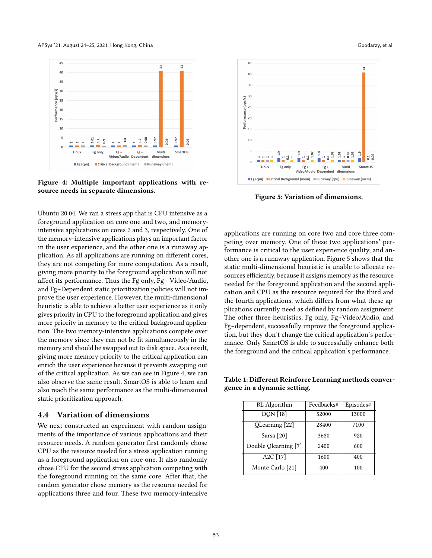APSys '21, August 24-25, 2021, Hong Kong, China Goodarzy, et al. Goodarzy, et al.

<span id="page-5-1"></span>

Figure 4: Multiple important applications with resource needs in separate dimensions.

Ubuntu 20.04. We ran a stress app that is CPU intensive as a foreground application on core one and two, and memoryintensive applications on cores 2 and 3, respectively. One of the memory-intensive applications plays an important factor in the user experience, and the other one is a runaway application. As all applications are running on different cores, they are not competing for more computation. As a result, giving more priority to the foreground application will not affect its performance. Thus the Fg only, Fg+ Video/Audio, and Fg+Dependent static prioritization policies will not improve the user experience. However, the multi-dimensional heuristic is able to achieve a better user experience as it only gives priority in CPU to the foreground application and gives more priority in memory to the critical background application. The two memory-intensive applications compete over the memory since they can not be fit simultaneously in the memory and should be swapped out to disk space. As a result, giving more memory priority to the critical application can enrich the user experience because it prevents swapping out of the critical application. As we can see in Figure [4,](#page-5-1) we can also observe the same result. SmartOS is able to learn and also reach the same performance as the multi-dimensional static prioritization approach.

#### <span id="page-5-3"></span>4.4 Variation of dimensions

We next constructed an experiment with random assignments of the importance of various applications and their resource needs. A random generator first randomly chose CPU as the resource needed for a stress application running as a foreground application on core one. It also randomly chose CPU for the second stress application competing with the foreground running on the same core. After that, the random generator chose memory as the resource needed for applications three and four. These two memory-intensive

<span id="page-5-2"></span>

Figure 5: Variation of dimensions.

applications are running on core two and core three competing over memory. One of these two applications' performance is critical to the user experience quality, and another one is a runaway application. Figure [5](#page-5-2) shows that the static multi-dimensional heuristic is unable to allocate resources efficiently, because it assigns memory as the resource needed for the foreground application and the second application and CPU as the resource required for the third and the fourth applications, which differs from what these applications currently need as defined by random assignment. The other three heuristics, Fg only, Fg+Video/Audio, and Fg+dependent, successfully improve the foreground application, but they don't change the critical application's performance. Only SmartOS is able to successfully enhance both the foreground and the critical application's performance.

<span id="page-5-0"></span>Table 1: Different Reinforce Learning methods convergence in a dynamic setting.

|  | RL Algorithm                       | Feedbacks# | Episodes# |
|--|------------------------------------|------------|-----------|
|  | DQN [18]                           | 52000      | 13000     |
|  | QLearning [22]                     | 28400      | 7100      |
|  | Sarsa [20]                         | 3680       | 920       |
|  | Double Qlearning [7]               | 2400       | 600       |
|  | $\overline{A}$ <sub>2</sub> C [17] | 1600       | 400       |
|  | Monte Carlo [21]                   | 400        | 100       |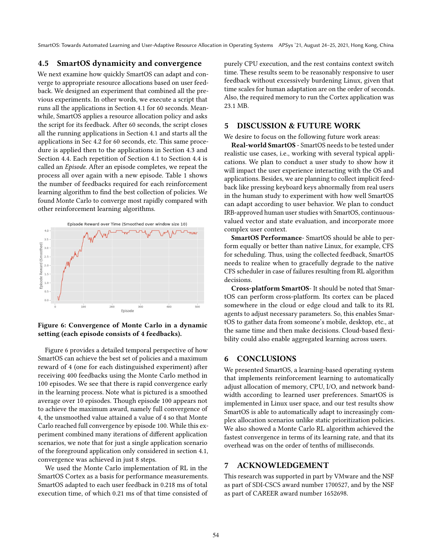SmartOS: Towards Automated Learning and User-Adaptive Resource Allocation in Operating Systems APSys '21, August 24–25, 2021, Hong Kong, China

## <span id="page-6-0"></span>4.5 SmartOS dynamicity and convergence

We next examine how quickly SmartOS can adapt and converge to appropriate resource allocations based on user feedback. We designed an experiment that combined all the previous experiments. In other words, we execute a script that runs all the applications in Section [4.1](#page-4-2) for 60 seconds. Meanwhile, SmartOS applies a resource allocation policy and asks the script for its feedback. After 60 seconds, the script closes all the running applications in Section [4.1](#page-4-2) and starts all the applications in Sec [4.2](#page-4-3) for 60 seconds, etc. This same procedure is applied then to the applications in Section [4.3](#page-4-4) and Section [4.4.](#page-5-3) Each repetition of Section [4.1](#page-4-2) to Section [4.4](#page-5-3) is called an Episode. After an episode completes, we repeat the process all over again with a new episode. Table [1](#page-5-0) shows the number of feedbacks required for each reinforcement learning algorithm to find the best collection of policies. We found Monte Carlo to converge most rapidly compared with other reinforcement learning algorithms.

<span id="page-6-1"></span>

### Figure 6: Convergence of Monte Carlo in a dynamic setting (each episode consists of 4 feedbacks).

Figure [6](#page-6-1) provides a detailed temporal perspective of how SmartOS can achieve the best set of policies and a maximum reward of 4 (one for each distinguished experiment) after receiving 400 feedbacks using the Monte Carlo method in 100 episodes. We see that there is rapid convergence early in the learning process. Note what is pictured is a smoothed average over 10 episodes. Though episode 100 appears not to achieve the maximum award, namely full convergence of 4, the unsmoothed value attained a value of 4 so that Monte Carlo reached full convergence by episode 100. While this experiment combined many iterations of different application scenarios, we note that for just a single application scenario of the foreground application only considered in section [4.1,](#page-4-2) convergence was achieved in just 8 steps.

We used the Monte Carlo implementation of RL in the SmartOS Cortex as a basis for performance measurements. SmartOS adapted to each user feedback in 0.218 ms of total execution time, of which 0.21 ms of that time consisted of

purely CPU execution, and the rest contains context switch time. These results seem to be reasonably responsive to user feedback without excessively burdening Linux, given that time scales for human adaptation are on the order of seconds. Also, the required memory to run the Cortex application was 23.1 MB.

## 5 DISCUSSION & FUTURE WORK

We desire to focus on the following future work areas:

Real-world SmartOS - SmartOS needs to be tested under realistic use cases, i.e., working with several typical applications. We plan to conduct a user study to show how it will impact the user experience interacting with the OS and applications. Besides, we are planning to collect implicit feedback like pressing keyboard keys abnormally from real users in the human study to experiment with how well SmartOS can adapt according to user behavior. We plan to conduct IRB-approved human user studies with SmartOS, continuousvalued vector and state evaluation, and incorporate more complex user context.

SmartOS Performance- SmartOS should be able to perform equally or better than native Linux, for example, CFS for scheduling. Thus, using the collected feedback, SmartOS needs to realize when to gracefully degrade to the native CFS scheduler in case of failures resulting from RL algorithm decisions.

Cross-platform SmartOS- It should be noted that SmartOS can perform cross-platform. Its cortex can be placed somewhere in the cloud or edge cloud and talk to its RL agents to adjust necessary parameters. So, this enables SmartOS to gather data from someone's mobile, desktop, etc., at the same time and then make decisions. Cloud-based flexibility could also enable aggregated learning across users.

# 6 CONCLUSIONS

We presented SmartOS, a learning-based operating system that implements reinforcement learning to automatically adjust allocation of memory, CPU, I/O, and network bandwidth according to learned user preferences. SmartOS is implemented in Linux user space, and our test results show SmartOS is able to automatically adapt to increasingly complex allocation scenarios unlike static prioritization policies. We also showed a Monte Carlo RL algorithm achieved the fastest convergence in terms of its learning rate, and that its overhead was on the order of tenths of milliseconds.

# 7 ACKNOWLEDGEMENT

This research was supported in part by VMware and the NSF as part of SDI-CSCS award number 1700527, and by the NSF as part of CAREER award number 1652698.